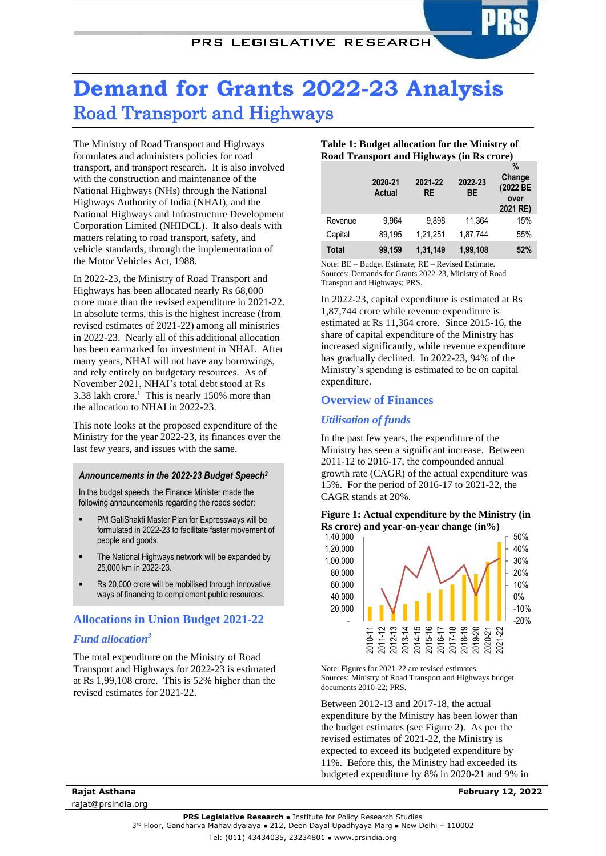# **Demand for Grants 2022-23 Analysis** Road Transport and Highways

The Ministry of Road Transport and Highways formulates and administers policies for road transport, and transport research. It is also involved with the construction and maintenance of the National Highways (NHs) through the National Highways Authority of India (NHAI), and the National Highways and Infrastructure Development Corporation Limited (NHIDCL). It also deals with matters relating to road transport, safety, and vehicle standards, through the implementation of the Motor Vehicles Act, 1988.

In 2022-23, the Ministry of Road Transport and Highways has been allocated nearly Rs 68,000 crore more than the revised expenditure in 2021-22. In absolute terms, this is the highest increase (from revised estimates of 2021-22) among all ministries in 2022-23. Nearly all of this additional allocation has been earmarked for investment in NHAI. After many years, NHAI will not have any borrowings, and rely entirely on budgetary resources. As of November 2021, NHAI's total debt stood at Rs  $3.38$  lakh crore.<sup>1</sup> This is nearly 150% more than the allocation to NHAI in 2022-23.

This note looks at the proposed expenditure of the Ministry for the year 2022-23, its finances over the last few years, and issues with the same.

## *Announcements in the 2022-23 Budget Speech<sup>2</sup>*

In the budget speech, the Finance Minister made the following announcements regarding the roads sector:

- PM GatiShakti Master Plan for Expressways will be formulated in 2022-23 to facilitate faster movement of people and goods.
- The National Highways network will be expanded by 25,000 km in 2022-23.
- Rs 20,000 crore will be mobilised through innovative ways of financing to complement public resources.

# **Allocations in Union Budget 2021-22**

# <span id="page-0-0"></span>*Fund allocation<sup>3</sup>*

The total expenditure on the Ministry of Road Transport and Highways for 2022-23 is estimated at Rs 1,99,108 crore. This is 52% higher than the revised estimates for 2021-22.

#### **Table 1: Budget allocation for the Ministry of Road Transport and Highways (in Rs crore)**

|         | 2020-21<br>Actual | 2021-22<br><b>RE</b> | 2022-23<br>ВE | $\%$<br>Change<br>(2022 BE<br>over<br>2021 RE) |
|---------|-------------------|----------------------|---------------|------------------------------------------------|
| Revenue | 9.964             | 9.898                | 11.364        | 15%                                            |
| Capital | 89,195            | 1,21,251             | 1,87,744      | 55%                                            |
| Total   | 99,159            | 1,31,149             | 1,99,108      | 52%                                            |

Note: BE – Budget Estimate; RE – Revised Estimate. Sources: Demands for Grants 2022-23, Ministry of Road Transport and Highways; PRS.

In 2022-23, capital expenditure is estimated at Rs 1,87,744 crore while revenue expenditure is estimated at Rs 11,364 crore. Since 2015-16, the share of capital expenditure of the Ministry has increased significantly, while revenue expenditure has gradually declined. In 2022-23, 94% of the Ministry's spending is estimated to be on capital expenditure.

## **Overview of Finances**

## *Utilisation of funds*

<span id="page-0-1"></span>In the past few years, the expenditure of the Ministry has seen a significant increase. Between 2011-12 to 2016-17, the compounded annual growth rate (CAGR) of the actual expenditure was 15%. For the period of 2016-17 to 2021-22, the CAGR stands at 20%.





Note: Figures for 2021-22 are revised estimates. Sources: Ministry of Road Transport and Highways budget documents 2010-22; PRS.

Between 2012-13 and 2017-18, the actual expenditure by the Ministry has been lower than the budget estimates (see [Figure 2\)](#page-1-0). As per the revised estimates of 2021-22, the Ministry is expected to exceed its budgeted expenditure by 11%. Before this, the Ministry had exceeded its budgeted expenditure by 8% in 2020-21 and 9% in

**Rajat Asthana** rajat@prsindia.org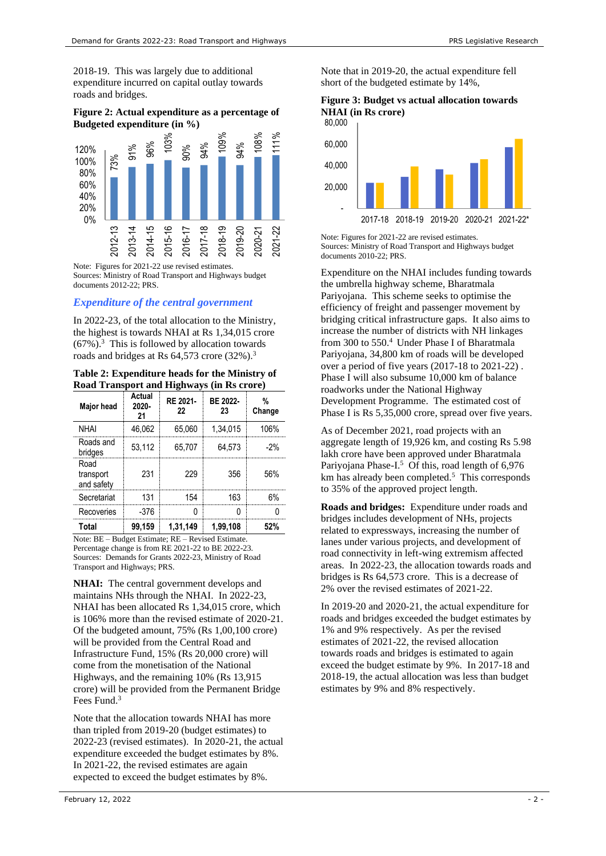2018-19. This was largely due to additional expenditure incurred on capital outlay towards roads and bridges.

## <span id="page-1-0"></span>**Figure 2: Actual expenditure as a percentage of Budgeted expenditure (in %)**



Note: Figures for 2021-22 use revised estimates. Sources: Ministry of Road Transport and Highways budget documents 2012-22; PRS.

# *Expenditure of the central government*

In 2022-23, of the total allocation to the Ministry, the highest is towards NHAI at Rs 1,34,015 crore  $(67\%)$ .<sup>3</sup> This is followed by allocation towards roads and bridges at Rs 64,573 crore (32%[\).](#page-0-0)<sup>3</sup>

## **Table 2: Expenditure heads for the Ministry of Road Transport and Highways (in Rs crore)**

| Major head                      | Actual<br>2020-<br>21 | RE 2021-<br>22 | BE 2022-<br>23 | %<br>Change |
|---------------------------------|-----------------------|----------------|----------------|-------------|
| <b>NHAI</b>                     | 46.062                | 65.060         | 1.34.015       | 106%        |
| Roads and<br>bridges            | 53,112                | 65.707         | 64.573         | $-2%$       |
| Road<br>transport<br>and safety | 231                   | 229            | 356            | 56%         |
| Secretariat                     | 131                   | 154            | 163            | 6%          |
| Recoveries                      | -376                  |                |                |             |
| Total                           | 99.159                | 1,31,149       | 1.99.108       | 52%         |

Note: BE – Budget Estimate; RE – Revised Estimate. Percentage change is from RE 2021-22 to BE 2022-23. Sources: Demands for Grants 2022-23, Ministry of Road Transport and Highways; PRS.

**NHAI:** The central government develops and maintains NHs through the NHAI. In 2022-23, NHAI has been allocated Rs 1,34,015 crore, which is 106% more than the revised estimate of 2020-21. Of the budgeted amount, 75% (Rs 1,00,100 crore) will be provided from the Central Road and Infrastructure Fund, 15% (Rs 20,000 crore) will come from the monetisation of the National Highways, and the remaining 10% (Rs 13,915 crore) will be provided from the Permanent Bridge Fees Fund.<sup>[3](#page-0-0)</sup>

Note that the allocation towards NHAI has more than tripled from 2019-20 (budget estimates) to 2022-23 (revised estimates). In 2020-21, the actual expenditure exceeded the budget estimates by 8%. In 2021-22, the revised estimates are again expected to exceed the budget estimates by 8%.

Note that in 2019-20, the actual expenditure fell short of the budgeted estimate by 14%,

#### **Figure 3: Budget vs actual allocation towards NHAI (in Rs crore)**



Note: Figures for 2021-22 are revised estimates. Sources: Ministry of Road Transport and Highways budget documents 2010-22; PRS.

Expenditure on the NHAI includes funding towards the umbrella highway scheme, Bharatmala Pariyojana. This scheme seeks to optimise the efficiency of freight and passenger movement by bridging critical infrastructure gaps. It also aims to increase the number of districts with NH linkages from 300 to 550.<sup>4</sup> Under Phase I of Bharatmala Pariyojana, 34,800 km of roads will be developed over a period of five years (2017-18 to 2021-22) . Phase I will also subsume 10,000 km of balance roadworks under the National Highway Development Programme. The estimated cost of Phase I is Rs 5,35,000 crore, spread over five years.

As of December 2021, road projects with an aggregate length of 19,926 km, and costing Rs 5.98 lakh crore have been approved under Bharatmala Pariyojana Phase-I.<sup>5</sup> Of this, road length of 6,976 km has already been completed.<sup>5</sup> This corresponds to 35% of the approved project length.

**Roads and bridges:** Expenditure under roads and bridges includes development of NHs, projects related to expressways, increasing the number of lanes under various projects, and development of road connectivity in left-wing extremism affected areas. In 2022-23, the allocation towards roads and bridges is Rs 64,573 crore. This is a decrease of 2% over the revised estimates of 2021-22.

In 2019-20 and 2020-21, the actual expenditure for roads and bridges exceeded the budget estimates by 1% and 9% respectively. As per the revised estimates of 2021-22, the revised allocation towards roads and bridges is estimated to again exceed the budget estimate by 9%. In 2017-18 and 2018-19, the actual allocation was less than budget estimates by 9% and 8% respectively.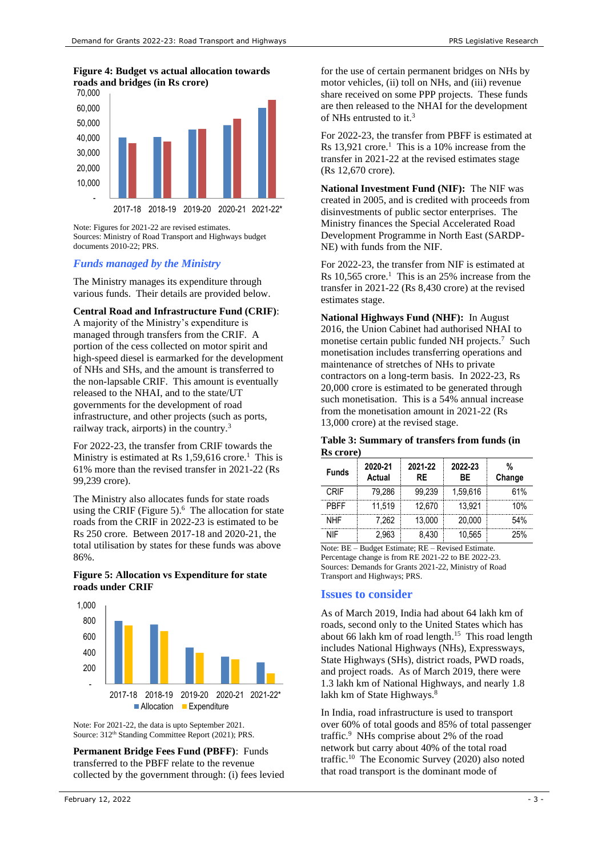## **Figure 4: Budget vs actual allocation towards roads and bridges (in Rs crore)**



Note: Figures for 2021-22 are revised estimates. Sources: Ministry of Road Transport and Highways budget documents 2010-22; PRS.

# *Funds managed by the Ministry*

The Ministry manages its expenditure through various funds. Their details are provided below.

## **Central Road and Infrastructure Fund (CRIF)**:

A majority of the Ministry's expenditure is managed through transfers from the CRIF. A portion of the cess collected on motor spirit and high-speed diesel is earmarked for the development of NHs and SHs, and the amount is transferred to the non-lapsable CRIF. This amount is eventually released to the NHAI, and to the state/UT governments for the development of road infrastructure, and other projects (such as ports, railway track, airports) in the country.[3](#page-0-0)

For 2022-23, the transfer from CRIF towards the Ministry is estimated at Rs  $1,59,616$  crore.<sup>1</sup> This is 61% more than the revised transfer in 2021-22 (Rs 99,239 crore).

The Ministry also allocates funds for state roads using the CRIF (Figure 5). 6 The allocation for state roads from the CRIF in 2022-23 is estimated to be Rs 250 crore. Between 2017-18 and 2020-21, the total utilisation by states for these funds was above 86%.

#### **Figure 5: Allocation vs Expenditure for state roads under CRIF**



Note: For 2021-22, the data is upto September 2021. Source: 312<sup>th</sup> Standing Committee Report (2021); PRS.

**Permanent Bridge Fees Fund (PBFF)**: Funds transferred to the PBFF relate to the revenue collected by the government through: (i) fees levied for the use of certain permanent bridges on NHs by motor vehicles, (ii) toll on NHs, and (iii) revenue share received on some PPP projects. These funds are then released to the NHAI for the development of NHs entrusted to i[t.](#page-0-0) 3

For 2022-23, the transfer from PBFF is estimated at Rs  $13,921$  crore.<sup>1</sup> This is a 10% increase from the transfer in 2021-22 at the revised estimates stage (Rs 12,670 crore).

**National Investment Fund (NIF):** The NIF was created in 2005, and is credited with proceeds from disinvestments of public sector enterprises. The Ministry finances the Special Accelerated Road Development Programme in North East (SARDP-NE) with funds from the NIF.

For 2022-23, the transfer from NIF is estimated at Rs  $10,565$  crore.<sup>1</sup> This is an 25% increase from the transfer in 2021-22 (Rs 8,430 crore) at the revised estimates stage.

**National Highways Fund (NHF):** In August 2016, the Union Cabinet had authorised NHAI to monetise certain public funded NH projects.<sup>7</sup> Such monetisation includes transferring operations and maintenance of stretches of NHs to private contractors on a long-term basis. In 2022-23, Rs 20,000 crore is estimated to be generated through such monetisation. This is a 54% annual increase from the monetisation amount in 2021-22 (Rs 13,000 crore) at the revised stage.

#### **Table 3: Summary of transfers from funds (in Rs crore)**

| 139 U.VI U  |                   |               |               |             |
|-------------|-------------------|---------------|---------------|-------------|
| Funds       | 2020-21<br>Actual | 2021-22<br>RF | 2022-23<br>ВF | %<br>Change |
| CRIF        | 79.286            | 99.239        | 1.59.616      | 61%         |
| <b>PRFF</b> | 11.519            | 12.670        | 13.921        | 10%         |
| NHF         | 7.262             | 13.000        | 20.000        | 54%         |
| NIF         | 2.963             | 8.430         | 10.565        | 25%         |

Note: BE – Budget Estimate; RE – Revised Estimate. Percentage change is from RE 2021-22 to BE 2022-23. Sources: Demands for Grants 2021-22, Ministry of Road Transport and Highways; PRS.

# **Issues to consider**

As of March 2019, India had about 64 lakh km of roads, second only to the United States which has about 66 lakh km of road length. [15](#page-3-0) This road length includes National Highways (NHs), Expressways, State Highways (SHs), district roads, PWD roads, and project roads. As of March 2019, there were 1.3 lakh km of National Highways, and nearly 1.8 lakh km of State Highways.<sup>8</sup>

<span id="page-2-0"></span>In India, road infrastructure is used to transport over 60% of total goods and 85% of total passenger traffic.<sup>9</sup> NHs comprise about 2% of the road network but carry about 40% of the total road traffic.<sup>10</sup> The Economic Survey (2020) also noted that road transport is the dominant mode of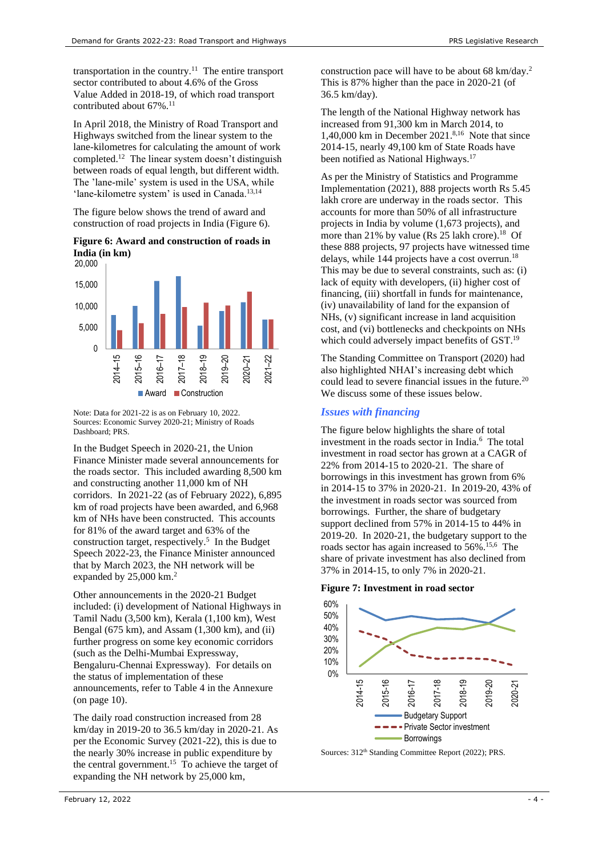transportation in the country.<sup>11</sup> The entire transport sector contributed to about 4.6% of the Gross Value Added in 2018-19, of which road transport contributed about 67%.<sup>11</sup>

In April 2018, the Ministry of Road Transport and Highways switched from the linear system to the lane-kilometres for calculating the amount of work completed.<sup>12</sup> The linear system doesn't distinguish between roads of equal length, but different width. The 'lane-mile' system is used in the USA, while 'lane-kilometre system' is used in Canada.<sup>13,14</sup>

The figure below shows the trend of award and construction of road projects in India (Figure 6).

## **Figure 6: Award and construction of roads in India (in km)**



Note: Data for 2021-22 is as on February 10, 2022. Sources: Economic Survey 2020-21; Ministry of Roads Dashboard; PRS.

In the Budget Speech in 2020-21, the Union Finance Minister made several announcements for the roads sector. This included awarding 8,500 km and constructing another 11,000 km of NH corridors. In 2021-22 (as of February 2022), 6,895 km of road projects have been awarded, and 6,968 km of NHs have been constructed. This accounts for 81% of the award target and 63% of the construction target, respectively.<sup>5</sup> In the Budget Speech 2022-23, the Finance Minister announced that by March 2023, the NH network will be expanded by 25,000 k[m.](#page-0-1)<sup>2</sup>

Other announcements in the 2020-21 Budget included: (i) development of National Highways in Tamil Nadu (3,500 km), Kerala (1,100 km), West Bengal (675 km), and Assam (1,300 km), and (ii) further progress on some key economic corridors (such as the Delhi-Mumbai Expressway, Bengaluru-Chennai Expressway). For details on the status of implementation of these announcements, refer to Table 4 in the Annexure (on page 10).

<span id="page-3-0"></span>The daily road construction increased from 28 km/day in 2019-20 to 36.5 km/day in 2020-21. As per the Economic Survey (2021-22), this is due to the nearly 30% increase in public expenditure by the central government.<sup>15</sup> To achieve the target of expanding the NH network by 25,000 km,

construction pace will have to be about 68 km/day.<sup>2</sup> This is 87% higher than the pace in 2020-21 (of 36.5 km/day).

The length of the National Highway network has increased from 91,300 km in March 2014, to 1,40,000 km in December 2021. 8,16 Note that since 2014-15, nearly 49,100 km of State Roads have been notified as National Highways. 17

<span id="page-3-2"></span>As per the Ministry of Statistics and Programme Implementation (2021), 888 projects worth Rs 5.45 lakh crore are underway in the roads sector. This accounts for more than 50% of all infrastructure projects in India by volume (1,673 projects), and more than 21% by value (Rs 25 lakh crore).<sup>18</sup> Of these 888 projects, 97 projects have witnessed time delays, while 144 projects have a cost overrun. 18 This may be due to several constraints, such as: (i) lack of equity with developers, (ii) higher cost of financing, (iii) shortfall in funds for maintenance, (iv) unavailability of land for the expansion of NHs, (v) significant increase in land acquisition cost, and (vi) bottlenecks and checkpoints on NHs which could adversely impact benefits of GST.<sup>19</sup>

<span id="page-3-1"></span>The Standing Committee on Transport (2020) had also highlighted NHAI's increasing debt which could lead to severe financial issues in the future.<sup>20</sup> We discuss some of these issues below.

# *Issues with financing*

The figure below highlights the share of total investment in the roads sector in India.<sup>6</sup> The total investment in road sector has grown at a CAGR of 22% from 2014-15 to 2020-21. The share of borrowings in this investment has grown from 6% in 2014-15 to 37% in 2020-21. In 2019-20, 43% of the investment in roads sector was sourced from borrowings. Further, the share of budgetary support declined from 57% in 2014-15 to 44% in 2019-20. In 2020-21, the budgetary support to the roads sector has again increased to 56%. [15,6](#page-3-0) The share of private investment has also declined from 37% in 2014-15, to only 7% in 2020-21.

**Figure 7: Investment in road sector**



Sources:  $312<sup>th</sup>$  Standing Committee Report (2022); PRS.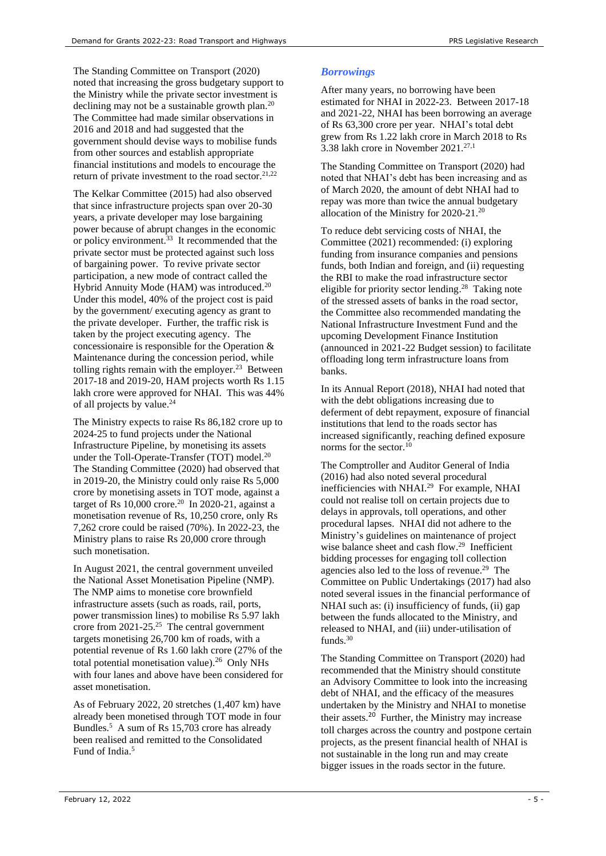The Standing Committee on Transport (2020) noted that increasing the gross budgetary support to the Ministry while the private sector investment is declining may not be a sustainable growth plan.<sup>[20](#page-3-1)</sup> The Committee had made similar observations in 2016 and 2018 and had suggested that the government should devise ways to mobilise funds from other sources and establish appropriate financial institutions and models to encourage the return of private investment to the road sector.<sup>21,22</sup>

The Kelkar Committee (2015) had also observed that since infrastructure projects span over 20-30 years, a private developer may lose bargaining power because of abrupt changes in the economic or policy environment.<sup>[33](#page-5-0)</sup> It recommended that the private sector must be protected against such loss of bargaining power. To revive private sector participation, a new mode of contract called the Hybrid Annuity Mode (HAM) was introduced.<sup>20</sup> Under this model, 40% of the project cost is paid by the government/ executing agency as grant to the private developer. Further, the traffic risk is taken by the project executing agency. The concessionaire is responsible for the Operation & Maintenance during the concession period, while tolling rights remain with the employer.<sup>23</sup> Between 2017-18 and 2019-20, HAM projects worth Rs 1.15 lakh crore were approved for NHAI. This was 44% of all projects by value.<sup>24</sup>

The Ministry expects to raise Rs 86,182 crore up to 2024-25 to fund projects under the National Infrastructure Pipeline, by monetising its assets under the Toll-Operate-Transfer (TOT) model.<sup>[20](#page-3-1)</sup> The Standing Committee (2020) had observed that in 2019-20, the Ministry could only raise Rs 5,000 crore by monetising assets in TOT mode, against a target of Rs  $10,000$  crore.<sup>[20](#page-3-1)</sup> In 2020-21, against a monetisation revenue of Rs, 10,250 crore, only Rs 7,262 crore could be raised (70%). In 2022-23, the Ministry plans to raise Rs 20,000 crore through such monetisation.

In August 2021, the central government unveiled the National Asset Monetisation Pipeline (NMP). The NMP aims to monetise core brownfield infrastructure assets (such as roads, rail, ports, power transmission lines) to mobilise Rs 5.97 lakh crore from  $2021-25.^{25}$  The central government targets monetising 26,700 km of roads, with a potential revenue of Rs 1.60 lakh crore (27% of the total potential monetisation value). $^{26}$  Only NHs with four lanes and above have been considered for asset monetisation.

As of February 2022, 20 stretches (1,407 km) have already been monetised through TOT mode in four Bundles. 5 A sum of Rs 15,703 crore has already been realised and remitted to the Consolidated Fund of India. 5

# *Borrowings*

After many years, no borrowing have been estimated for NHAI in 2022-23. Between 2017-18 and 2021-22, NHAI has been borrowing an average of Rs 63,300 crore per year. NHAI's total debt grew from Rs 1.22 lakh crore in March 2018 to Rs 3.38 lakh crore in November  $2021$ .<sup>27,1</sup>

The Standing Committee on Transport (2020) had noted that NHAI's debt has been increasing and as of March 2020, the amount of debt NHAI had to repay was more than twice the annual budgetary allocation of the Ministry for 2020-21. [20](#page-3-1)

To reduce debt servicing costs of NHAI, the Committee (2021) recommended: (i) exploring funding from insurance companies and pensions funds, both Indian and foreign, and (ii) requesting the RBI to make the road infrastructure sector eligible for priority sector lending. <sup>28</sup> Taking note of the stressed assets of banks in the road sector, the Committee also recommended mandating the National Infrastructure Investment Fund and the upcoming Development Finance Institution (announced in 2021-22 Budget session) to facilitate offloading long term infrastructure loans from banks.

In its Annual Report (2018), NHAI had noted that with the debt obligations increasing due to deferment of debt repayment, exposure of financial institutions that lend to the roads sector has increased significantly, reaching defined exposure norms for the sector.<sup>[10](#page-2-0)</sup>

<span id="page-4-0"></span>The Comptroller and Auditor General of India (2016) had also noted several procedural inefficiencies with NHAI.<sup>29</sup> For example, NHAI could not realise toll on certain projects due to delays in approvals, toll operations, and other procedural lapses. NHAI did not adhere to the Ministry's guidelines on maintenance of project wise balance sheet and cash flow.<sup>[29](#page-4-0)</sup> Inefficient bidding processes for engaging toll collection agencies also led to the loss of revenue. [29](#page-4-0) The Committee on Public Undertakings (2017) had also noted several issues in the financial performance of NHAI such as: (i) insufficiency of funds, (ii) gap between the funds allocated to the Ministry, and released to NHAI, and (iii) under-utilisation of funds.<sup>30</sup>

<span id="page-4-1"></span>The Standing Committee on Transport (2020) had recommended that the Ministry should constitute an Advisory Committee to look into the increasing debt of NHAI, and the efficacy of the measures undertaken by the Ministry and NHAI to monetise their assets.<sup>[20](#page-3-1)</sup> Further, the Ministry may increase toll charges across the country and postpone certain projects, as the present financial health of NHAI is not sustainable in the long run and may create bigger issues in the roads sector in the future.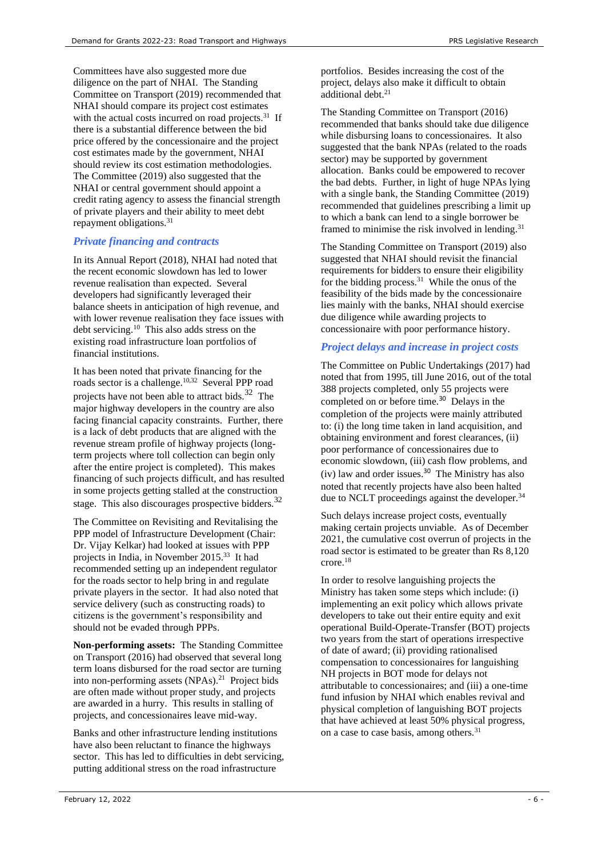Committees have also suggested more due diligence on the part of NHAI. The Standing Committee on Transport (2019) recommended that NHAI should compare its project cost estimates with the actual costs incurred on road projects.<sup>31</sup> If there is a substantial difference between the bid price offered by the concessionaire and the project cost estimates made by the government, NHAI should review its cost estimation methodologies. The Committee (2019) also suggested that the NHAI or central government should appoint a credit rating agency to assess the financial strength of private players and their ability to meet debt repayment obligations.<sup>[31](#page-5-1)</sup>

# *Private financing and contracts*

In its Annual Report (2018), NHAI had noted that the recent economic slowdown has led to lower revenue realisation than expected. Several developers had significantly leveraged their balance sheets in anticipation of high revenue, and with lower revenue realisation they face issues with debt servicing.[10](#page-2-0) This also adds stress on the existing road infrastructure loan portfolios of financial institutions.

<span id="page-5-2"></span>It has been noted that private financing for the roads sector is a challenge.<sup>[10,3](#page-2-0)2</sup> Several PPP road projects have not been able to attract bids. $^{32}$  $^{32}$  $^{32}$  The major highway developers in the country are also facing financial capacity constraints. Further, there is a lack of debt products that are aligned with the revenue stream profile of highway projects (longterm projects where toll collection can begin only after the entire project is completed). This makes financing of such projects difficult, and has resulted in some projects getting stalled at the construction stage. This also discourages prospective bidders.<sup>[32](#page-5-2)</sup>

The Committee on Revisiting and Revitalising the PPP model of Infrastructure Development (Chair: Dr. Vijay Kelkar) had looked at issues with PPP projects in India, in November 2015. 33 It had recommended setting up an independent regulator for the roads sector to help bring in and regulate private players in the sector. It had also noted that service delivery (such as constructing roads) to citizens is the government's responsibility and should not be evaded through PPPs.

**Non-performing assets:** The Standing Committee on Transport (2016) had observed that several long term loans disbursed for the road sector are turning into non-performing assets (NPAs).<sup>21</sup> Project bids are often made without proper study, and projects are awarded in a hurry. This results in stalling of projects, and concessionaires leave mid-way.

Banks and other infrastructure lending institutions have also been reluctant to finance the highways sector. This has led to difficulties in debt servicing, putting additional stress on the road infrastructure

portfolios. Besides increasing the cost of the project, delays also make it difficult to obtain additional debt. 21

<span id="page-5-1"></span>The Standing Committee on Transport (2016) recommended that banks should take due diligence while disbursing loans to concessionaires. It also suggested that the bank NPAs (related to the roads sector) may be supported by government allocation. Banks could be empowered to recover the bad debts. Further, in light of huge NPAs lying with a single bank, the Standing Committee (2019) recommended that guidelines prescribing a limit up to which a bank can lend to a single borrower be framed to minimise the risk involved in lending.<sup>31</sup>

The Standing Committee on Transport (2019) also suggested that NHAI should revisit the financial requirements for bidders to ensure their eligibility for the bidding process.<sup>31</sup> While the onus of the feasibility of the bids made by the concessionaire lies mainly with the banks, NHAI should exercise due diligence while awarding projects to concessionaire with poor performance history.

# *Project delays and increase in project costs*

The Committee on Public Undertakings (2017) had noted that from 1995, till June 2016, out of the total 388 projects completed, only 55 projects were completed on or before time.<sup>[30](#page-4-1)</sup> Delays in the completion of the projects were mainly attributed to: (i) the long time taken in land acquisition, and obtaining environment and forest clearances, (ii) poor performance of concessionaires due to economic slowdown, (iii) cash flow problems, and  $(iv)$  law and order issues.<sup>[30](#page-4-1)</sup> The Ministry has also noted that recently projects have also been halted due to NCLT proceedings against the developer.<sup>34</sup>

Such delays increase project costs, eventually making certain projects unviable. As of December 2021, the cumulative cost overrun of projects in the road sector is estimated to be greater than Rs 8,120 crore.[18](#page-3-2)

<span id="page-5-0"></span>In order to resolve languishing projects the Ministry has taken some steps which include: (i) implementing an exit policy which allows private developers to take out their entire equity and exit operational Build-Operate-Transfer (BOT) projects two years from the start of operations irrespective of date of award; (ii) providing rationalised compensation to concessionaires for languishing NH projects in BOT mode for delays not attributable to concessionaires; and (iii) a one-time fund infusion by NHAI which enables revival and physical completion of languishing BOT projects that have achieved at least 50% physical progress, on a case to case basis, among others.<sup>[31](#page-5-1)</sup>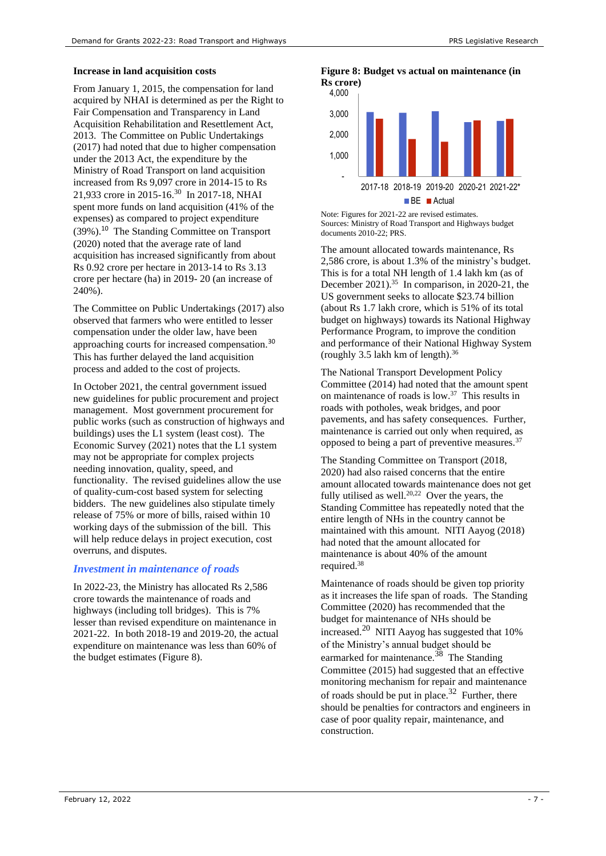#### **Increase in land acquisition costs**

From January 1, 2015, the compensation for land acquired by NHAI is determined as per the Right to Fair Compensation and Transparency in Land Acquisition Rehabilitation and Resettlement Act, 2013. The Committee on Public Undertakings (2017) had noted that due to higher compensation under the 2013 Act, the expenditure by the Ministry of Road Transport on land acquisition increased from Rs 9,097 crore in 2014-15 to Rs 21,933 crore in 2015-16.<sup>[30](#page-4-1)</sup> In 2017-18, NHAI spent more funds on land acquisition (41% of the expenses) as compared to project expenditure (39%).[10](#page-2-0) The Standing Committee on Transport (2020) noted that the average rate of land acquisition has increased significantly from about Rs 0.92 crore per hectare in 2013-14 to Rs 3.13 crore per hectare (ha) in 2019- 20 (an increase of 240%).

The Committee on Public Undertakings (2017) also observed that farmers who were entitled to lesser compensation under the older law, have been approaching courts for increased compensation.<sup>[30](#page-4-1)</sup> This has further delayed the land acquisition process and added to the cost of projects.

In October 2021, the central government issued new guidelines for public procurement and project management. Most government procurement for public works (such as construction of highways and buildings) uses the L1 system (least cost). The Economic Survey (2021) notes that the L1 system may not be appropriate for complex projects needing innovation, quality, speed, and functionality. The revised guidelines allow the use of quality-cum-cost based system for selecting bidders. The new guidelines also stipulate timely release of 75% or more of bills, raised within 10 working days of the submission of the bill. This will help reduce delays in project execution, cost overruns, and disputes.

#### *Investment in maintenance of roads*

In 2022-23, the Ministry has allocated Rs 2,586 crore towards the maintenance of roads and highways (including toll bridges). This is 7% lesser than revised expenditure on maintenance in 2021-22. In both 2018-19 and 2019-20, the actual expenditure on maintenance was less than 60% of the budget estimates [\(Figure 8\)](#page-6-0).

#### <span id="page-6-0"></span>**Figure 8: Budget vs actual on maintenance (in Rs crore)**



Note: Figures for 2021-22 are revised estimates. Sources: Ministry of Road Transport and Highways budget documents 2010-22; PRS.

<span id="page-6-4"></span>The amount allocated towards maintenance, Rs 2,586 crore, is about 1.3% of the ministry's budget. This is for a total NH length of 1.4 lakh km (as of December 2021). 35 In comparison, in 2020-21, the US government seeks to allocate \$23.74 billion (about Rs 1.7 lakh crore, which is 51% of its total budget on highways) towards its National Highway Performance Program, to improve the condition and performance of their National Highway System (roughly 3.5 lakh km of length). 36 Ì.

<span id="page-6-3"></span><span id="page-6-1"></span>The National Transport Development Policy Committee (2014) had noted that the amount spent on maintenance of roads is low. 37 This results in roads with potholes, weak bridges, and poor pavements, and has safety consequences. Further, maintenance is carried out only when required, as opposed to being a part of preventive measures.<sup>[37](#page-6-1)</sup>

The Standing Committee on Transport (2018, 2020) had also raised concerns that the entire amount allocated towards maintenance does not get fully utilised as well.<sup>[20,2](#page-3-1)2</sup> Over the years, the Standing Committee has repeatedly noted that the entire length of NHs in the country cannot be maintained with this amount. NITI Aayog (2018) had noted that the amount allocated for maintenance is about 40% of the amount required.<sup>38</sup>

<span id="page-6-2"></span>Maintenance of roads should be given top priority as it increases the life span of roads. The Standing Committee (2020) has recommended that the budget for maintenance of NHs should be increased.[20](#page-3-1) NITI Aayog has suggested that 10% of the Ministry's annual budget should be earmarked for maintenance.<sup>[38](#page-6-2)</sup> The Standing Committee (2015) had suggested that an effective monitoring mechanism for repair and maintenance of roads should be put in place. $32$  Further, there should be penalties for contractors and engineers in case of poor quality repair, maintenance, and construction.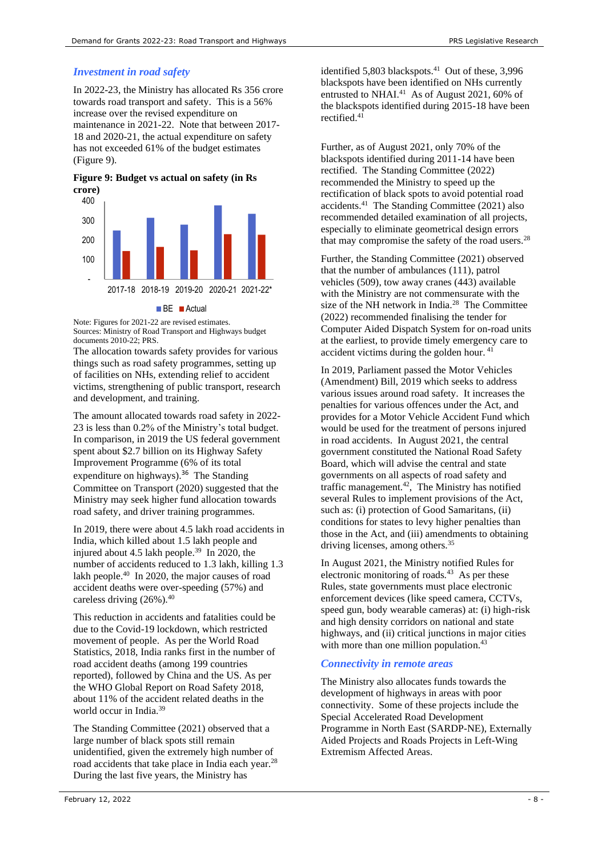# *Investment in road safety*

In 2022-23, the Ministry has allocated Rs 356 crore towards road transport and safety. This is a 56% increase over the revised expenditure on maintenance in 2021-22. Note that between 2017- 18 and 2020-21, the actual expenditure on safety has not exceeded 61% of the budget estimates (Figure 9).

**Figure 9: Budget vs actual on safety (in Rs crore)**



#### **BE Actual**

Note: Figures for 2021-22 are revised estimates. Sources: Ministry of Road Transport and Highways budget documents 2010-22; PRS.

The allocation towards safety provides for various things such as road safety programmes, setting up of facilities on NHs, extending relief to accident victims, strengthening of public transport, research and development, and training.

The amount allocated towards road safety in 2022- 23 is less than 0.2% of the Ministry's total budget. In comparison, in 2019 the US federal government spent about \$2.7 billion on its Highway Safety Improvement Programme (6% of its total expenditure on highways).<sup>[36](#page-6-3)</sup> The Standing Committee on Transport (2020) suggested that the Ministry may seek higher fund allocation towards road safety, and driver training programmes.

In 2019, there were about 4.5 lakh road accidents in India, which killed about 1.5 lakh people and injured about 4.5 lakh people.<sup>39</sup> In 2020, the number of accidents reduced to 1.3 lakh, killing 1.3 lakh people.<sup>40</sup> In 2020, the major causes of road accident deaths were over-speeding (57%) and careless driving  $(26\%)$ .<sup>40</sup>

This reduction in accidents and fatalities could be due to the Covid-19 lockdown, which restricted movement of people. As per the World Road Statistics, 2018, India ranks first in the number of road accident deaths (among 199 countries reported), followed by China and the US. As per the WHO Global Report on Road Safety 2018, about 11% of the accident related deaths in the world occur in India.<sup>39</sup>

The Standing Committee (2021) observed that a large number of black spots still remain unidentified, given the extremely high number of road accidents that take place in India each year.<sup>28</sup> During the last five years, the Ministry has

identified 5,803 blackspots. 41 Out of these, 3,996 blackspots have been identified on NHs currently entrusted to NHAI.<sup>41</sup> As of August 2021, 60% of the blackspots identified during 2015-18 have been rectified.<sup>41</sup>

Further, as of August 2021, only 70% of the blackspots identified during 2011-14 have been rectified. The Standing Committee (2022) recommended the Ministry to speed up the rectification of black spots to avoid potential road accidents. 41 The Standing Committee (2021) also recommended detailed examination of all projects, especially to eliminate geometrical design errors that may compromise the safety of the road users.<sup>28</sup>

Further, the Standing Committee (2021) observed that the number of ambulances (111), patrol vehicles (509), tow away cranes (443) available with the Ministry are not commensurate with the size of the NH network in India.<sup>28</sup> The Committee (2022) recommended finalising the tender for Computer Aided Dispatch System for on-road units at the earliest, to provide timely emergency care to accident victims during the golden hour. <sup>41</sup>

In 2019, Parliament passed the Motor Vehicles (Amendment) Bill, 2019 which seeks to address various issues around road safety. It increases the penalties for various offences under the Act, and provides for a Motor Vehicle Accident Fund which would be used for the treatment of persons injured in road accidents. In August 2021, the central government constituted the National Road Safety Board, which will advise the central and state governments on all aspects of road safety and traffic management. $42$ , The Ministry has notified several Rules to implement provisions of the Act, such as: (i) protection of Good Samaritans, (ii) conditions for states to levy higher penalties than those in the Act, and (iii) amendments to obtaining driving licenses, among others.[35](#page-6-4)

In August 2021, the Ministry notified Rules for electronic monitoring of roads.<sup>43</sup> As per these Rules, state governments must place electronic enforcement devices (like speed camera, CCTVs, speed gun, body wearable cameras) at: (i) high-risk and high density corridors on national and state highways, and (ii) critical junctions in major cities with more than one million population.<sup>43</sup>

# *Connectivity in remote areas*

The Ministry also allocates funds towards the development of highways in areas with poor connectivity. Some of these projects include the Special Accelerated Road Development Programme in North East (SARDP-NE), Externally Aided Projects and Roads Projects in Left-Wing Extremism Affected Areas.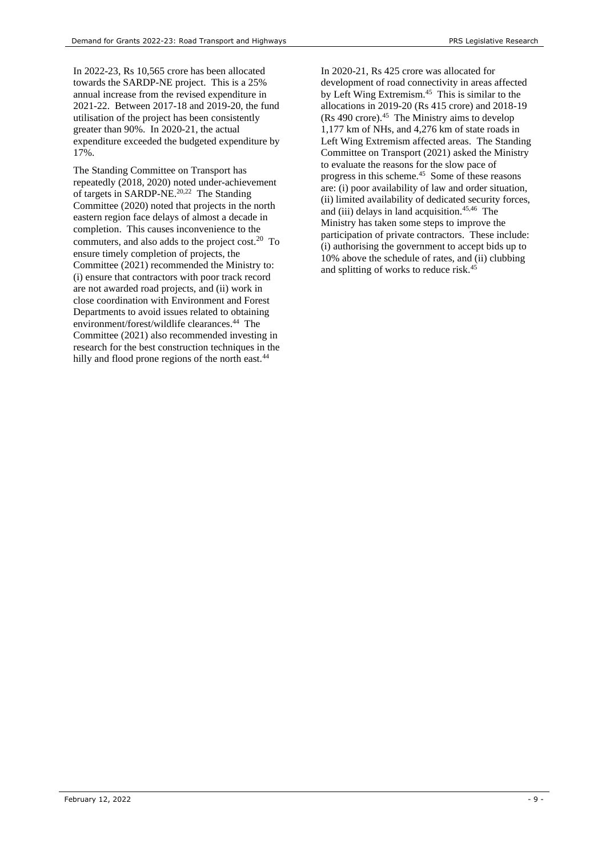In 2022-23, Rs 10,565 crore has been allocated towards the SARDP-NE project. This is a 25% annual increase from the revised expenditure in 2021-22. Between 2017-18 and 2019-20, the fund utilisation of the project has been consistently greater than 90%. In 2020-21, the actual expenditure exceeded the budgeted expenditure by 17%.

The Standing Committee on Transport has repeatedly (2018, 2020) noted under-achievement of targets in SARDP-NE.<sup>20,22</sup> The Standing Committee (2020) noted that projects in the north eastern region face delays of almost a decade in completion. This causes inconvenience to the commuters, and also adds to the project cost.[20](#page-3-1) To ensure timely completion of projects, the Committee (2021) recommended the Ministry to: (i) ensure that contractors with poor track record are not awarded road projects, and (ii) work in close coordination with Environment and Forest Departments to avoid issues related to obtaining environment/forest/wildlife clearances. <sup>44</sup> The Committee (2021) also recommended investing in research for the best construction techniques in the hilly and flood prone regions of the north east.<sup>44</sup>

In 2020-21, Rs 425 crore was allocated for development of road connectivity in areas affected by Left Wing Extremism.<sup>45</sup> This is similar to the allocations in 2019-20 (Rs 415 crore) and 2018-19 (Rs 490 crore).<sup>45</sup> The Ministry aims to develop 1,177 km of NHs, and 4,276 km of state roads in Left Wing Extremism affected areas. The Standing Committee on Transport (2021) asked the Ministry to evaluate the reasons for the slow pace of progress in this scheme.<sup>45</sup> Some of these reasons are: (i) poor availability of law and order situation, (ii) limited availability of dedicated security forces, and (iii) delays in land acquisition.<sup>45,46</sup> The Ministry has taken some steps to improve the participation of private contractors. These include: (i) authorising the government to accept bids up to 10% above the schedule of rates, and (ii) clubbing and splitting of works to reduce risk.45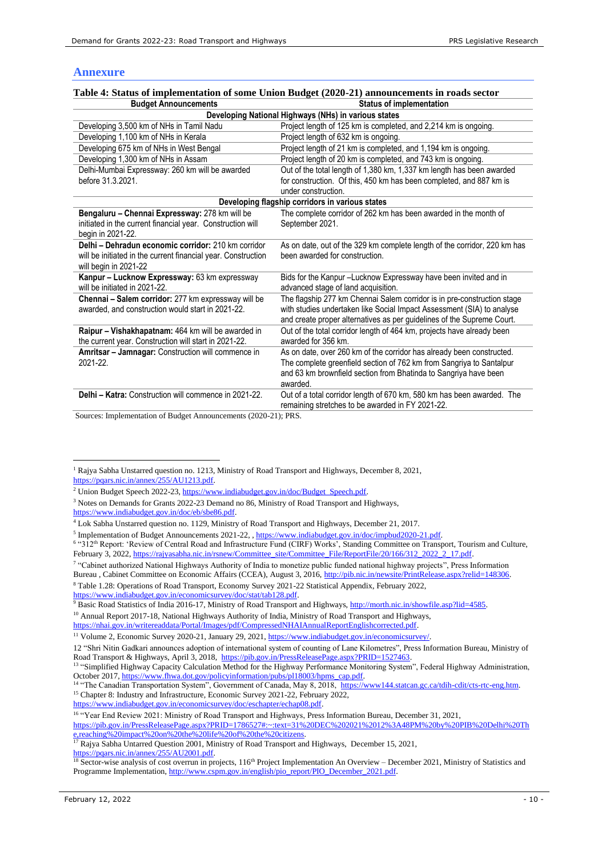# **Annexure**

| $\frac{1}{2}$ . Survey of implementation of some chion bauger (2020–21) announcements in Fours sector |                                                                           |  |  |  |
|-------------------------------------------------------------------------------------------------------|---------------------------------------------------------------------------|--|--|--|
| <b>Budget Announcements</b>                                                                           | <b>Status of implementation</b>                                           |  |  |  |
| Developing National Highways (NHs) in various states                                                  |                                                                           |  |  |  |
| Developing 3,500 km of NHs in Tamil Nadu                                                              | Project length of 125 km is completed, and 2,214 km is ongoing.           |  |  |  |
| Developing 1,100 km of NHs in Kerala                                                                  | Project length of 632 km is ongoing.                                      |  |  |  |
| Developing 675 km of NHs in West Bengal                                                               | Project length of 21 km is completed, and 1,194 km is ongoing.            |  |  |  |
| Developing 1,300 km of NHs in Assam                                                                   | Project length of 20 km is completed, and 743 km is ongoing.              |  |  |  |
| Delhi-Mumbai Expressway: 260 km will be awarded                                                       | Out of the total length of 1,380 km, 1,337 km length has been awarded     |  |  |  |
| before 31.3.2021.                                                                                     | for construction. Of this, 450 km has been completed, and 887 km is       |  |  |  |
|                                                                                                       | under construction.                                                       |  |  |  |
| Developing flagship corridors in various states                                                       |                                                                           |  |  |  |
| Bengaluru - Chennai Expressway: 278 km will be                                                        | The complete corridor of 262 km has been awarded in the month of          |  |  |  |
| initiated in the current financial year. Construction will                                            | September 2021.                                                           |  |  |  |
| begin in 2021-22.                                                                                     |                                                                           |  |  |  |
| Delhi - Dehradun economic corridor: 210 km corridor                                                   | As on date, out of the 329 km complete length of the corridor, 220 km has |  |  |  |
| will be initiated in the current financial year. Construction                                         | been awarded for construction.                                            |  |  |  |
| will begin in 2021-22                                                                                 |                                                                           |  |  |  |
| Kanpur - Lucknow Expressway: 63 km expressway                                                         | Bids for the Kanpur-Lucknow Expressway have been invited and in           |  |  |  |
| will be initiated in 2021-22.                                                                         | advanced stage of land acquisition.                                       |  |  |  |
| Chennai - Salem corridor: 277 km expressway will be                                                   | The flagship 277 km Chennai Salem corridor is in pre-construction stage   |  |  |  |
| awarded, and construction would start in 2021-22.                                                     | with studies undertaken like Social Impact Assessment (SIA) to analyse    |  |  |  |
|                                                                                                       | and create proper alternatives as per guidelines of the Supreme Court.    |  |  |  |
| Raipur - Vishakhapatnam: 464 km will be awarded in                                                    | Out of the total corridor length of 464 km, projects have already been    |  |  |  |
| the current year. Construction will start in 2021-22.                                                 | awarded for 356 km.                                                       |  |  |  |
| Amritsar - Jamnagar: Construction will commence in                                                    | As on date, over 260 km of the corridor has already been constructed.     |  |  |  |
| 2021-22.                                                                                              | The complete greenfield section of 762 km from Sangriya to Santalpur      |  |  |  |
|                                                                                                       | and 63 km brownfield section from Bhatinda to Sangriya have been          |  |  |  |
|                                                                                                       | awarded.                                                                  |  |  |  |
| Delhi - Katra: Construction will commence in 2021-22.                                                 | Out of a total corridor length of 670 km, 580 km has been awarded. The    |  |  |  |
|                                                                                                       | remaining stretches to be awarded in FY 2021-22.                          |  |  |  |

**Table 4: Status of implementation of some Union Budget (2020-21) announcements in roads sector**

Sources: Implementation of Budget Announcements (2020-21); PRS.

<sup>1</sup> Rajya Sabha Unstarred question no. 1213, Ministry of Road Transport and Highways, December 8, 2021, [https://pqars.nic.in/annex/255/AU1213.pdf.](https://pqars.nic.in/annex/255/AU1213.pdf) 

<sup>8</sup> Table 1.28: Operations of Road Transport, Economy Survey 2021-22 Statistical Appendix, February 2022, [https://www.indiabudget.gov.in/economicsurvey/doc/stat/tab128.pdf.](https://www.indiabudget.gov.in/economicsurvey/doc/stat/tab128.pdf)

<sup>9</sup> Basic Road Statistics of India 2016-17, Ministry of Road Transport and Highways, [http://morth.nic.in/showfile.asp?lid=4585.](http://morth.nic.in/showfile.asp?lid=4585)

<sup>10</sup> Annual Report 2017-18, National Highways Authority of India, Ministry of Road Transport and Highways,

[https://www.indiabudget.gov.in/economicsurvey/doc/eschapter/echap08.pdf.](https://www.indiabudget.gov.in/economicsurvey/doc/eschapter/echap08.pdf)

<sup>16</sup> "Year End Review 2021: Ministry of Road Transport and Highways, Press Information Bureau, December 31, 2021,

<sup>17</sup> Rajya Sabha Untarred Question 2001, Ministry of Road Transport and Highways, December 15, 2021,

[https://pqars.nic.in/annex/255/AU2001.pdf.](https://pqars.nic.in/annex/255/AU2001.pdf) 

<sup>&</sup>lt;sup>2</sup> Union Budget Speech 2022-23, https://www.indiabudget.gov.in/doc/Budget\_Speech.pdf.

<sup>&</sup>lt;sup>3</sup> Notes on Demands for Grants 2022-23 Demand no 86, Ministry of Road Transport and Highways, [https://www.indiabudget.gov.in/doc/eb/sbe86.pdf.](https://www.indiabudget.gov.in/doc/eb/sbe86.pdf) 

<sup>4</sup> Lok Sabha Unstarred question no. 1129, Ministry of Road Transport and Highways, December 21, 2017.

<sup>&</sup>lt;sup>5</sup> Implementation of Budget Announcements 2021-22, [, https://www.indiabudget.gov.in/doc/impbud2020-21.pdf.](https://www.indiabudget.gov.in/doc/impbud2020-21.pdf)

<sup>&</sup>lt;sup>6</sup> "312<sup>th</sup> Report: 'Review of Central Road and Infrastructure Fund (CIRF) Works', Standing Committee on Transport, Tourism and Culture, February 3, 2022, [https://rajyasabha.nic.in/rsnew/Committee\\_site/Committee\\_File/ReportFile/20/166/312\\_2022\\_2\\_17.pdf.](https://rajyasabha.nic.in/rsnew/Committee_site/Committee_File/ReportFile/20/166/312_2022_2_17.pdf)

<sup>7</sup> "Cabinet authorized National Highways Authority of India to monetize public funded national highway projects", Press Information

Bureau , Cabinet Committee on Economic Affairs (CCEA), August 3, 2016[, http://pib.nic.in/newsite/PrintRelease.aspx?relid=148306.](http://pib.nic.in/newsite/PrintRelease.aspx?relid=148306) 

[https://nhai.gov.in/writereaddata/Portal/Images/pdf/CompressedNHAIAnnualReportEnglishcorrected.pdf.](https://nhai.gov.in/writereaddata/Portal/Images/pdf/CompressedNHAIAnnualReportEnglishcorrected.pdf)

<sup>11</sup> Volume 2, Economic Survey 2020-21, January 29, 2021[, https://www.indiabudget.gov.in/economicsurvey/.](https://www.indiabudget.gov.in/economicsurvey/)

<sup>12</sup> "Shri Nitin Gadkari announces adoption of international system of counting of Lane Kilometres", Press Information Bureau, Ministry of Road Transport & Highways, April 3, 2018, [https://pib.gov.in/PressReleasePage.aspx?PRID=1527463.](https://pib.gov.in/PressReleasePage.aspx?PRID=1527463)<br><sup>13</sup> "Simplified Highway Capacity Calculation Method for the Highway Performance Monitoring System", Federal Highway Administ

October 2017, [https://www.fhwa.dot.gov/policyinformation/pubs/pl18003/hpms\\_cap.pdf.](https://www.fhwa.dot.gov/policyinformation/pubs/pl18003/hpms_cap.pdf)

<sup>&</sup>lt;sup>4</sup> "The Canadian Transportation System", Government of Canada, May 8, 2018, [https://www144.statcan.gc.ca/tdih-cdit/cts-rtc-eng.htm.](https://www144.statcan.gc.ca/tdih-cdit/cts-rtc-eng.htm) <sup>15</sup> Chapter 8: Industry and Infrastructure, Economic Survey 2021-22, February 2022,

[https://pib.gov.in/PressReleasePage.aspx?PRID=1786527#:~:text=31%20DEC%202021%2012%3A48PM%20by%20PIB%20Delhi%20Th](https://pib.gov.in/PressReleasePage.aspx?PRID=1786527%23:~:text=31%20DEC%202021%2012%3A48PM%20by%20PIB%20Delhi%20The,reaching%20impact%20on%20the%20life%20of%20the%20citizens) [e,reaching%20impact%20on%20the%20life%20of%20the%20citizens.](https://pib.gov.in/PressReleasePage.aspx?PRID=1786527%23:~:text=31%20DEC%202021%2012%3A48PM%20by%20PIB%20Delhi%20The,reaching%20impact%20on%20the%20life%20of%20the%20citizens)

 $\frac{18}{18}$  Sector-wise analysis of cost overrun in projects, 116<sup>th</sup> Project Implementation An Overview – December 2021, Ministry of Statistics and Programme Implementation[, http://www.cspm.gov.in/english/pio\\_report/PIO\\_December\\_2021.pdf.](http://www.cspm.gov.in/english/pio_report/PIO_December_2021.pdf)